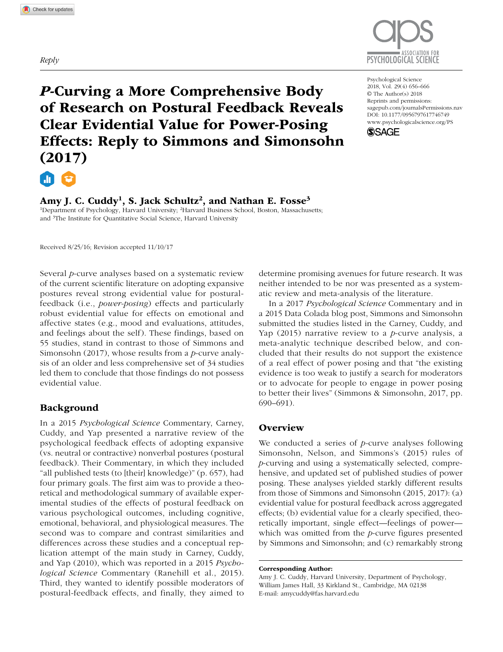*Reply*



*P*-Curving a More Comprehensive Body of Research on Postural Feedback Reveals Clear Evidential Value for Power-Posing Effects: Reply to Simmons and Simonsohn (2017)

https://doi.org/10.1177/0956797617746749 DOI: 10.1177/0956797617746749 Psychological Science 2018, Vol. 29(4) 656–666 © The Author(s) 2018 Reprints and permissions: [sagepub.com/journalsPermissions.nav](https://sagepub.com/journalsPermissions.nav) [www.psychologicalscience.org/PS](http://www.psychologicalscience.org/ps)



Amy J. C. Cuddy<sup>1</sup>, S. Jack Schultz<sup>2</sup>, and Nathan E. Fosse<sup>3</sup>

<sup>1</sup>Department of Psychology, Harvard University; <sup>2</sup>Harvard Business School, Boston, Massachusetts; and <sup>3</sup>The Institute for Quantitative Social Science, Harvard University

Received 8/25/16; Revision accepted 11/10/17

Several *p*-curve analyses based on a systematic review of the current scientific literature on adopting expansive postures reveal strong evidential value for posturalfeedback (i.e., *power-posing*) effects and particularly robust evidential value for effects on emotional and affective states (e.g., mood and evaluations, attitudes, and feelings about the self). These findings, based on 55 studies, stand in contrast to those of Simmons and Simonsohn (2017), whose results from a *p*-curve analysis of an older and less comprehensive set of 34 studies led them to conclude that those findings do not possess evidential value.

## Background

In a 2015 *Psychological Science* Commentary, Carney, Cuddy, and Yap presented a narrative review of the psychological feedback effects of adopting expansive (vs. neutral or contractive) nonverbal postures (postural feedback). Their Commentary, in which they included "all published tests (to [their] knowledge)" (p. 657), had four primary goals. The first aim was to provide a theoretical and methodological summary of available experimental studies of the effects of postural feedback on various psychological outcomes, including cognitive, emotional, behavioral, and physiological measures. The second was to compare and contrast similarities and differences across these studies and a conceptual replication attempt of the main study in Carney, Cuddy, and Yap (2010), which was reported in a 2015 *Psychological Science* Commentary (Ranehill et al., 2015). Third, they wanted to identify possible moderators of postural-feedback effects, and finally, they aimed to

determine promising avenues for future research. It was neither intended to be nor was presented as a systematic review and meta-analysis of the literature.

In a 2017 *Psychological Science* Commentary and in a 2015 Data Colada blog post, Simmons and Simonsohn submitted the studies listed in the Carney, Cuddy, and Yap (2015) narrative review to a *p*-curve analysis, a meta-analytic technique described below, and concluded that their results do not support the existence of a real effect of power posing and that "the existing evidence is too weak to justify a search for moderators or to advocate for people to engage in power posing to better their lives" (Simmons & Simonsohn, 2017, pp. 690–691).

## **Overview**

We conducted a series of *p-*curve analyses following Simonsohn, Nelson, and Simmons's (2015) rules of *p*-curving and using a systematically selected, comprehensive, and updated set of published studies of power posing. These analyses yielded starkly different results from those of Simmons and Simonsohn (2015, 2017): (a) evidential value for postural feedback across aggregated effects; (b) evidential value for a clearly specified, theoretically important, single effect—feelings of power which was omitted from the *p*-curve figures presented by Simmons and Simonsohn; and (c) remarkably strong

Amy J. C. Cuddy, Harvard University, Department of Psychology, William James Hall, 33 Kirkland St., Cambridge, MA 02138 E-mail: [amycuddy@fas.harvard.edu](mailto:amycuddy@fas.harvard.edu)

Corresponding Author: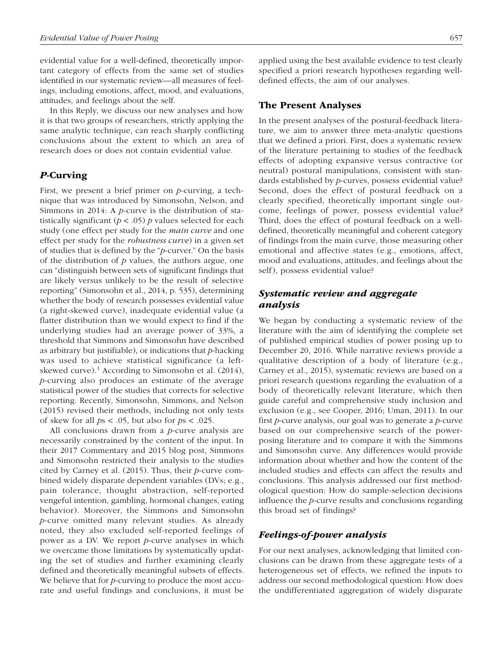evidential value for a well-defined, theoretically important category of effects from the same set of studies identified in our systematic review—all measures of feelings, including emotions, affect, mood, and evaluations, attitudes, and feelings about the self.

In this Reply, we discuss our new analyses and how it is that two groups of researchers, strictly applying the same analytic technique, can reach sharply conflicting conclusions about the extent to which an area of research does or does not contain evidential value.

### *P*-Curving

First, we present a brief primer on *p-*curving, a technique that was introduced by Simonsohn, Nelson, and Simmons in 2014: A *p-*curve is the distribution of statistically significant  $(p < .05)$  *p* values selected for each study (one effect per study for the *main curve* and one effect per study for the *robustness curve*) in a given set of studies that is defined by the "*p*-curver." On the basis of the distribution of *p* values, the authors argue, one can "distinguish between sets of significant findings that are likely versus unlikely to be the result of selective reporting" (Simonsohn et al., 2014, p. 535), determining whether the body of research possesses evidential value (a right-skewed curve), inadequate evidential value (a flatter distribution than we would expect to find if the underlying studies had an average power of 33%, a threshold that Simmons and Simonsohn have described as arbitrary but justifiable), or indications that *p*-hacking was used to achieve statistical significance (a leftskewed curve).<sup>1</sup> According to Simonsohn et al.  $(2014)$ , *p*-curving also produces an estimate of the average statistical power of the studies that corrects for selective reporting. Recently, Simonsohn, Simmons, and Nelson (2015) revised their methods, including not only tests of skew for all *p*s < .05, but also for *p*s < .025.

All conclusions drawn from a *p*-curve analysis are necessarily constrained by the content of the input. In their 2017 Commentary and 2015 blog post, Simmons and Simonsohn restricted their analysis to the studies cited by Carney et al. (2015). Thus, their *p*-curve combined widely disparate dependent variables (DVs; e.g., pain tolerance, thought abstraction, self-reported vengeful intention, gambling, hormonal changes, eating behavior). Moreover, the Simmons and Simonsohn *p*-curve omitted many relevant studies. As already noted, they also excluded self-reported feelings of power as a DV. We report *p*-curve analyses in which we overcame those limitations by systematically updating the set of studies and further examining clearly defined and theoretically meaningful subsets of effects. We believe that for *p*-curving to produce the most accurate and useful findings and conclusions, it must be

applied using the best available evidence to test clearly specified a priori research hypotheses regarding welldefined effects, the aim of our analyses.

### The Present Analyses

In the present analyses of the postural-feedback literature, we aim to answer three meta-analytic questions that we defined a priori. First, does a systematic review of the literature pertaining to studies of the feedback effects of adopting expansive versus contractive (or neutral) postural manipulations, consistent with standards established by *p*-curves, possess evidential value? Second, does the effect of postural feedback on a clearly specified, theoretically important single outcome, feelings of power, possess evidential value? Third, does the effect of postural feedback on a welldefined, theoretically meaningful and coherent category of findings from the main curve, those measuring other emotional and affective states (e.g., emotions, affect, mood and evaluations, attitudes, and feelings about the self), possess evidential value?

## *Systematic review and aggregate analysis*

We began by conducting a systematic review of the literature with the aim of identifying the complete set of published empirical studies of power posing up to December 20, 2016. While narrative reviews provide a qualitative description of a body of literature (e.g., Carney et al., 2015), systematic reviews are based on a priori research questions regarding the evaluation of a body of theoretically relevant literature, which then guide careful and comprehensive study inclusion and exclusion (e.g., see Cooper, 2016; Uman, 2011). In our first *p*-curve analysis, our goal was to generate a *p*-curve based on our comprehensive search of the powerposing literature and to compare it with the Simmons and Simonsohn curve. Any differences would provide information about whether and how the content of the included studies and effects can affect the results and conclusions. This analysis addressed our first methodological question: How do sample-selection decisions influence the *p-*curve results and conclusions regarding this broad set of findings?

### *Feelings-of-power analysis*

For our next analyses, acknowledging that limited conclusions can be drawn from these aggregate tests of a heterogeneous set of effects, we refined the inputs to address our second methodological question: How does the undifferentiated aggregation of widely disparate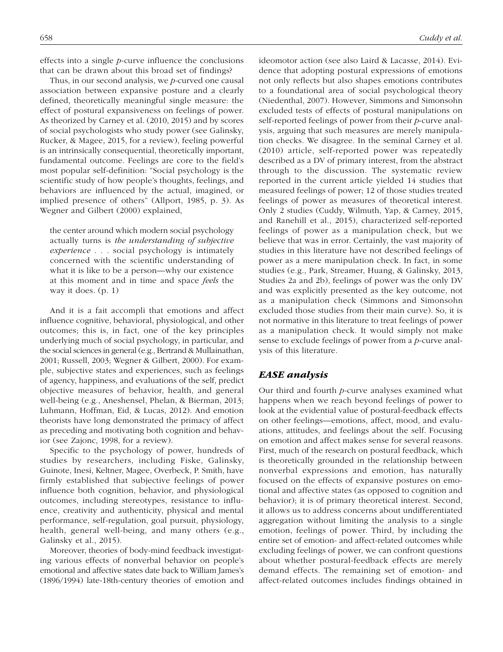effects into a single *p*-curve influence the conclusions that can be drawn about this broad set of findings?

Thus, in our second analysis, we *p-*curved one causal association between expansive posture and a clearly defined, theoretically meaningful single measure: the effect of postural expansiveness on feelings of power. As theorized by Carney et al. (2010, 2015) and by scores of social psychologists who study power (see Galinsky, Rucker, & Magee, 2015, for a review), feeling powerful is an intrinsically consequential, theoretically important, fundamental outcome. Feelings are core to the field's most popular self-definition: "Social psychology is the scientific study of how people's thoughts, feelings, and behaviors are influenced by the actual, imagined, or implied presence of others" (Allport, 1985, p. 3). As Wegner and Gilbert (2000) explained,

the center around which modern social psychology actually turns is *the understanding of subjective experience* . . . social psychology is intimately concerned with the scientific understanding of what it is like to be a person—why our existence at this moment and in time and space *feels* the way it does. (p. 1)

And it is a fait accompli that emotions and affect influence cognitive, behavioral, physiological, and other outcomes; this is, in fact, one of the key principles underlying much of social psychology, in particular, and the social sciences in general (e.g., Bertrand & Mullainathan, 2001; Russell, 2003; Wegner & Gilbert, 2000). For example, subjective states and experiences, such as feelings of agency, happiness, and evaluations of the self, predict objective measures of behavior, health, and general well-being (e.g., Aneshensel, Phelan, & Bierman, 2013; Luhmann, Hoffman, Eid, & Lucas, 2012). And emotion theorists have long demonstrated the primacy of affect as preceding and motivating both cognition and behavior (see Zajonc, 1998, for a review).

Specific to the psychology of power, hundreds of studies by researchers, including Fiske, Galinsky, Guinote, Inesi, Keltner, Magee, Overbeck, P. Smith, have firmly established that subjective feelings of power influence both cognition, behavior, and physiological outcomes, including stereotypes, resistance to influence, creativity and authenticity, physical and mental performance, self-regulation, goal pursuit, physiology, health, general well-being, and many others (e.g., Galinsky et al., 2015).

Moreover, theories of body-mind feedback investigating various effects of nonverbal behavior on people's emotional and affective states date back to William James's (1896/1994) late-18th-century theories of emotion and ideomotor action (see also Laird & Lacasse, 2014). Evidence that adopting postural expressions of emotions not only reflects but also shapes emotions contributes to a foundational area of social psychological theory (Niedenthal, 2007). However, Simmons and Simonsohn excluded tests of effects of postural manipulations on self-reported feelings of power from their *p*-curve analysis, arguing that such measures are merely manipulation checks. We disagree. In the seminal Carney et al. (2010) article, self-reported power was repeatedly described as a DV of primary interest, from the abstract through to the discussion. The systematic review reported in the current article yielded 14 studies that measured feelings of power; 12 of those studies treated feelings of power as measures of theoretical interest. Only 2 studies (Cuddy, Wilmuth, Yap, & Carney, 2015, and Ranehill et al., 2015), characterized self-reported feelings of power as a manipulation check, but we believe that was in error. Certainly, the vast majority of studies in this literature have not described feelings of power as a mere manipulation check. In fact, in some studies (e.g., Park, Streamer, Huang, & Galinsky, 2013, Studies 2a and 2b), feelings of power was the only DV and was explicitly presented as the key outcome, not as a manipulation check (Simmons and Simonsohn excluded those studies from their main curve). So, it is not normative in this literature to treat feelings of power as a manipulation check. It would simply not make sense to exclude feelings of power from a *p*-curve analysis of this literature.

### *EASE analysis*

Our third and fourth *p-*curve analyses examined what happens when we reach beyond feelings of power to look at the evidential value of postural-feedback effects on other feelings—emotions, affect, mood, and evaluations, attitudes, and feelings about the self. Focusing on emotion and affect makes sense for several reasons. First, much of the research on postural feedback, which is theoretically grounded in the relationship between nonverbal expressions and emotion, has naturally focused on the effects of expansive postures on emotional and affective states (as opposed to cognition and behavior); it is of primary theoretical interest. Second, it allows us to address concerns about undifferentiated aggregation without limiting the analysis to a single emotion, feelings of power. Third, by including the entire set of emotion- and affect-related outcomes while excluding feelings of power, we can confront questions about whether postural-feedback effects are merely demand effects. The remaining set of emotion- and affect-related outcomes includes findings obtained in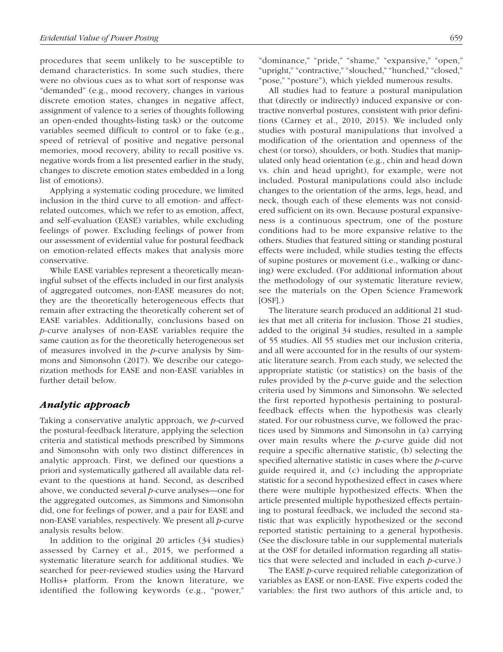procedures that seem unlikely to be susceptible to demand characteristics. In some such studies, there were no obvious cues as to what sort of response was "demanded" (e.g., mood recovery, changes in various discrete emotion states, changes in negative affect, assignment of valence to a series of thoughts following an open-ended thoughts-listing task) or the outcome variables seemed difficult to control or to fake (e.g., speed of retrieval of positive and negative personal memories, mood recovery, ability to recall positive vs. negative words from a list presented earlier in the study, changes to discrete emotion states embedded in a long list of emotions).

Applying a systematic coding procedure, we limited inclusion in the third curve to all emotion- and affectrelated outcomes, which we refer to as emotion, affect, and self-evaluation (EASE) variables, while excluding feelings of power. Excluding feelings of power from our assessment of evidential value for postural feedback on emotion-related effects makes that analysis more conservative.

While EASE variables represent a theoretically meaningful subset of the effects included in our first analysis of aggregated outcomes, non-EASE measures do not; they are the theoretically heterogeneous effects that remain after extracting the theoretically coherent set of EASE variables. Additionally, conclusions based on *p*-curve analyses of non-EASE variables require the same caution as for the theoretically heterogeneous set of measures involved in the *p*-curve analysis by Simmons and Simonsohn (2017). We describe our categorization methods for EASE and non-EASE variables in further detail below.

### *Analytic approach*

Taking a conservative analytic approach, we *p-*curved the postural-feedback literature, applying the selection criteria and statistical methods prescribed by Simmons and Simonsohn with only two distinct differences in analytic approach. First, we defined our questions a priori and systematically gathered all available data relevant to the questions at hand. Second, as described above, we conducted several *p-*curve analyses—one for the aggregated outcomes, as Simmons and Simonsohn did, one for feelings of power, and a pair for EASE and non-EASE variables, respectively. We present all *p*-curve analysis results below.

In addition to the original 20 articles (34 studies) assessed by Carney et al., 2015, we performed a systematic literature search for additional studies. We searched for peer-reviewed studies using the Harvard Hollis+ platform. From the known literature, we identified the following keywords (e.g., "power," "dominance," "pride," "shame," "expansive," "open," "upright," "contractive," "slouched," "hunched," "closed," "pose," "posture"), which yielded numerous results.

All studies had to feature a postural manipulation that (directly or indirectly) induced expansive or contractive nonverbal postures, consistent with prior definitions (Carney et al., 2010, 2015). We included only studies with postural manipulations that involved a modification of the orientation and openness of the chest (or torso), shoulders, or both. Studies that manipulated only head orientation (e.g., chin and head down vs. chin and head upright), for example, were not included. Postural manipulations could also include changes to the orientation of the arms, legs, head, and neck, though each of these elements was not considered sufficient on its own. Because postural expansiveness is a continuous spectrum, one of the posture conditions had to be more expansive relative to the others. Studies that featured sitting or standing postural effects were included, while studies testing the effects of supine postures or movement (i.e., walking or dancing) were excluded. (For additional information about the methodology of our systematic literature review, see the materials on the Open Science Framework  $[OSF]$ .)

The literature search produced an additional 21 studies that met all criteria for inclusion. Those 21 studies, added to the original 34 studies, resulted in a sample of 55 studies. All 55 studies met our inclusion criteria, and all were accounted for in the results of our systematic literature search. From each study, we selected the appropriate statistic (or statistics) on the basis of the rules provided by the *p-*curve guide and the selection criteria used by Simmons and Simonsohn. We selected the first reported hypothesis pertaining to posturalfeedback effects when the hypothesis was clearly stated. For our robustness curve, we followed the practices used by Simmons and Simonsohn in (a) carrying over main results where the *p-*curve guide did not require a specific alternative statistic, (b) selecting the specified alternative statistic in cases where the *p-*curve guide required it, and (c) including the appropriate statistic for a second hypothesized effect in cases where there were multiple hypothesized effects. When the article presented multiple hypothesized effects pertaining to postural feedback, we included the second statistic that was explicitly hypothesized or the second reported statistic pertaining to a general hypothesis. (See the disclosure table in our supplemental materials at the OSF for detailed information regarding all statistics that were selected and included in each *p-*curve.)

The EASE *p*-curve required reliable categorization of variables as EASE or non-EASE. Five experts coded the variables: the first two authors of this article and, to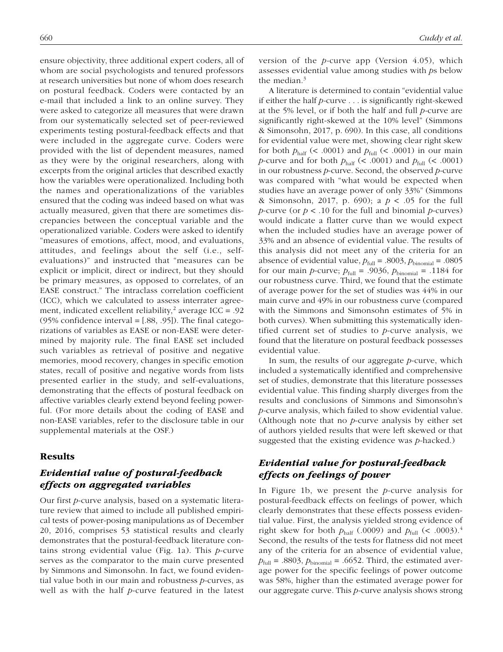ensure objectivity, three additional expert coders, all of whom are social psychologists and tenured professors at research universities but none of whom does research on postural feedback. Coders were contacted by an e-mail that included a link to an online survey. They were asked to categorize all measures that were drawn from our systematically selected set of peer-reviewed experiments testing postural-feedback effects and that were included in the aggregate curve. Coders were provided with the list of dependent measures, named as they were by the original researchers, along with excerpts from the original articles that described exactly how the variables were operationalized. Including both the names and operationalizations of the variables ensured that the coding was indeed based on what was actually measured, given that there are sometimes discrepancies between the conceptual variable and the operationalized variable. Coders were asked to identify "measures of emotions, affect, mood, and evaluations, attitudes, and feelings about the self (i.e., selfevaluations)" and instructed that "measures can be explicit or implicit, direct or indirect, but they should be primary measures, as opposed to correlates, of an EASE construct." The intraclass correlation coefficient (ICC), which we calculated to assess interrater agreement, indicated excellent reliability,<sup>2</sup> average ICC = .92  $(95%$  confidence interval =  $[.88, .95]$ ). The final categorizations of variables as EASE or non-EASE were determined by majority rule. The final EASE set included such variables as retrieval of positive and negative memories, mood recovery, changes in specific emotion states, recall of positive and negative words from lists presented earlier in the study, and self-evaluations, demonstrating that the effects of postural feedback on affective variables clearly extend beyond feeling powerful. (For more details about the coding of EASE and non-EASE variables, refer to the disclosure table in our supplemental materials at the OSF.)

### Results

## *Evidential value of postural-feedback effects on aggregated variables*

Our first *p*-curve analysis, based on a systematic literature review that aimed to include all published empirical tests of power-posing manipulations as of December 20, 2016, comprises 53 statistical results and clearly demonstrates that the postural-feedback literature contains strong evidential value (Fig. 1a). This *p*-curve serves as the comparator to the main curve presented by Simmons and Simonsohn. In fact, we found evidential value both in our main and robustness *p-*curves, as well as with the half *p*-curve featured in the latest version of the *p-*curve app (Version 4.05), which assesses evidential value among studies with *p*s below the median. $3$ 

A literature is determined to contain "evidential value if either the half *p-*curve . . . is significantly right-skewed at the 5% level, or if both the half and full *p-*curve are significantly right-skewed at the 10% level" (Simmons & Simonsohn, 2017, p. 690). In this case, all conditions for evidential value were met, showing clear right skew for both  $p_{\text{half}}$  (< .0001) and  $p_{\text{full}}$  (< .0001) in our main *p*-curve and for both  $p_{\text{half}}$  (< .0001) and  $p_{\text{full}}$  (< .0001) in our robustness *p*-curve. Second, the observed *p-*curve was compared with "what would be expected when studies have an average power of only 33%" (Simmons & Simonsohn, 2017, p. 690); a *p* < .05 for the full *p*-curve (or *p* < .10 for the full and binomial *p*-curves) would indicate a flatter curve than we would expect when the included studies have an average power of 33% and an absence of evidential value. The results of this analysis did not meet any of the criteria for an absence of evidential value,  $p_{\text{full}} = .8003$ ,  $p_{\text{binomial}} = .0805$ for our main *p*-curve;  $p_{\text{full}} = .9036$ ,  $p_{\text{binomial}} = .1184$  for our robustness curve. Third, we found that the estimate of average power for the set of studies was 44% in our main curve and 49% in our robustness curve (compared with the Simmons and Simonsohn estimates of 5% in both curves). When submitting this systematically identified current set of studies to *p*-curve analysis, we found that the literature on postural feedback possesses evidential value.

In sum, the results of our aggregate *p*-curve, which included a systematically identified and comprehensive set of studies, demonstrate that this literature possesses evidential value. This finding sharply diverges from the results and conclusions of Simmons and Simonsohn's *p-*curve analysis, which failed to show evidential value. (Although note that no *p*-curve analysis by either set of authors yielded results that were left skewed or that suggested that the existing evidence was *p-*hacked.)

## *Evidential value for postural-feedback effects on feelings of power*

In Figure 1b, we present the *p-*curve analysis for postural-feedback effects on feelings of power, which clearly demonstrates that these effects possess evidential value. First, the analysis yielded strong evidence of right skew for both  $p_{\text{half}}$  (.0009) and  $p_{\text{full}}$  (< .0003).<sup>4</sup> Second, the results of the tests for flatness did not meet any of the criteria for an absence of evidential value,  $p_{\text{full}} = .8803$ ,  $p_{\text{binomial}} = .6652$ . Third, the estimated average power for the specific feelings of power outcome was 58%, higher than the estimated average power for our aggregate curve. This *p-*curve analysis shows strong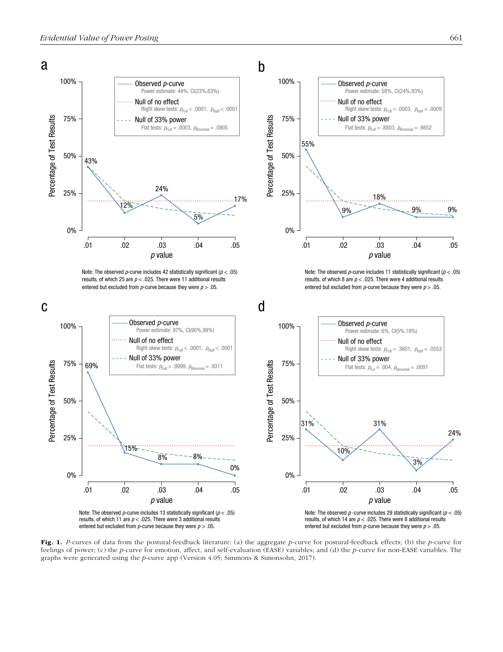

Fig. 1. *P*-curves of data from the postural-feedback literature: (a) the aggregate *p*-curve for postural-feedback effects; (b) the *p*-curve for

feelings of power; (c) the *p*-curve for emotion, affect, and self-evaluation (EASE) variables; and (d) the *p*-curve for non-EASE variables. The graphs were generated using the *p-*curve app (Version 4.05; Simmons & Simonsohn, 2017).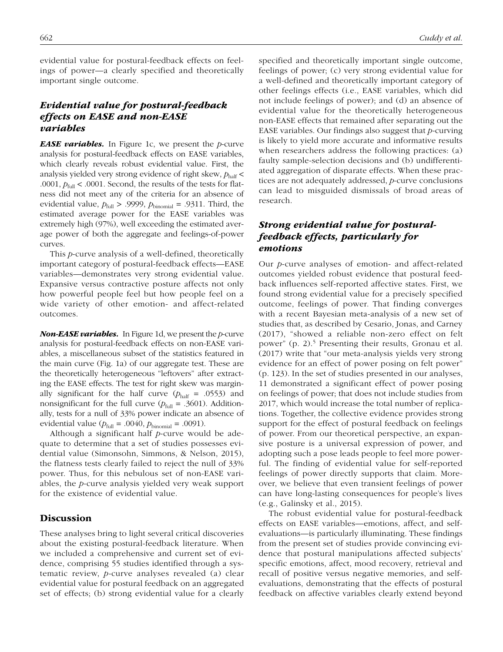evidential value for postural-feedback effects on feelings of power—a clearly specified and theoretically important single outcome.

# *Evidential value for postural-feedback effects on EASE and non-EASE variables*

*EASE variables.* In Figure 1c, we present the *p*-curve analysis for postural-feedback effects on EASE variables, which clearly reveals robust evidential value. First, the analysis yielded very strong evidence of right skew,  $p_{\text{half}}$  < .0001,  $p_{\text{full}}$  < .0001. Second, the results of the tests for flatness did not meet any of the criteria for an absence of evidential value,  $p_{\text{full}} > .9999$ ,  $p_{\text{binomial}} = .9311$ . Third, the estimated average power for the EASE variables was extremely high (97%), well exceeding the estimated average power of both the aggregate and feelings-of-power curves.

This *p*-curve analysis of a well-defined, theoretically important category of postural-feedback effects—EASE variables—demonstrates very strong evidential value. Expansive versus contractive posture affects not only how powerful people feel but how people feel on a wide variety of other emotion- and affect-related outcomes.

*Non-EASE variables.* In Figure 1d, we present the *p*-curve analysis for postural-feedback effects on non-EASE variables, a miscellaneous subset of the statistics featured in the main curve (Fig. 1a) of our aggregate test. These are the theoretically heterogeneous "leftovers" after extracting the EASE effects. The test for right skew was marginally significant for the half curve  $(p<sub>half</sub> = .0553)$  and nonsignificant for the full curve  $(p_{\text{full}} = .3601)$ . Additionally, tests for a null of 33% power indicate an absence of evidential value ( $p_{\text{full}} = .0040$ ,  $p_{\text{binomial}} = .0091$ ).

Although a significant half *p*-curve would be adequate to determine that a set of studies possesses evidential value (Simonsohn, Simmons, & Nelson, 2015), the flatness tests clearly failed to reject the null of 33% power. Thus, for this nebulous set of non-EASE variables, the *p*-curve analysis yielded very weak support for the existence of evidential value.

### **Discussion**

These analyses bring to light several critical discoveries about the existing postural-feedback literature. When we included a comprehensive and current set of evidence, comprising 55 studies identified through a systematic review, *p-*curve analyses revealed (a) clear evidential value for postural feedback on an aggregated set of effects; (b) strong evidential value for a clearly specified and theoretically important single outcome, feelings of power; (c) very strong evidential value for a well-defined and theoretically important category of other feelings effects (i.e., EASE variables, which did not include feelings of power); and (d) an absence of evidential value for the theoretically heterogeneous non-EASE effects that remained after separating out the EASE variables. Our findings also suggest that *p*-curving is likely to yield more accurate and informative results when researchers address the following practices: (a) faulty sample-selection decisions and (b) undifferentiated aggregation of disparate effects. When these practices are not adequately addressed, *p*-curve conclusions can lead to misguided dismissals of broad areas of research.

# *Strong evidential value for posturalfeedback effects, particularly for emotions*

Our *p*-curve analyses of emotion- and affect-related outcomes yielded robust evidence that postural feedback influences self-reported affective states. First, we found strong evidential value for a precisely specified outcome, feelings of power. That finding converges with a recent Bayesian meta-analysis of a new set of studies that, as described by Cesario, Jonas, and Carney (2017), "showed a reliable non-zero effect on felt power" (p. 2).<sup>5</sup> Presenting their results, Gronau et al. (2017) write that "our meta-analysis yields very strong evidence for an effect of power posing on felt power" (p. 123). In the set of studies presented in our analyses, 11 demonstrated a significant effect of power posing on feelings of power; that does not include studies from 2017, which would increase the total number of replications. Together, the collective evidence provides strong support for the effect of postural feedback on feelings of power. From our theoretical perspective, an expansive posture is a universal expression of power, and adopting such a pose leads people to feel more powerful. The finding of evidential value for self-reported feelings of power directly supports that claim. Moreover, we believe that even transient feelings of power can have long-lasting consequences for people's lives (e.g., Galinsky et al., 2015).

The robust evidential value for postural-feedback effects on EASE variables—emotions, affect, and selfevaluations—is particularly illuminating. These findings from the present set of studies provide convincing evidence that postural manipulations affected subjects' specific emotions, affect, mood recovery, retrieval and recall of positive versus negative memories, and selfevaluations, demonstrating that the effects of postural feedback on affective variables clearly extend beyond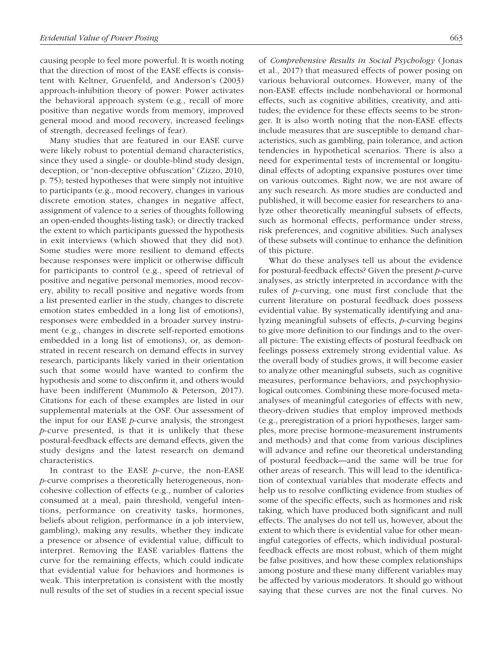causing people to feel more powerful. It is worth noting that the direction of most of the EASE effects is consistent with Keltner, Gruenfeld, and Anderson's (2003) approach-inhibition theory of power: Power activates the behavioral approach system (e.g., recall of more positive than negative words from memory, improved general mood and mood recovery, increased feelings of strength, decreased feelings of fear).

Many studies that are featured in our EASE curve were likely robust to potential demand characteristics, since they used a single- or double-blind study design, deception, or "non-deceptive obfuscation" (Zizzo, 2010, p. 75); tested hypotheses that were simply not intuitive to participants (e.g., mood recovery, changes in various discrete emotion states, changes in negative affect, assignment of valence to a series of thoughts following an open-ended thoughts-listing task); or directly tracked the extent to which participants guessed the hypothesis in exit interviews (which showed that they did not). Some studies were more resilient to demand effects because responses were implicit or otherwise difficult for participants to control (e.g., speed of retrieval of positive and negative personal memories, mood recovery, ability to recall positive and negative words from a list presented earlier in the study, changes to discrete emotion states embedded in a long list of emotions), responses were embedded in a broader survey instrument (e.g., changes in discrete self-reported emotions embedded in a long list of emotions), or, as demonstrated in recent research on demand effects in survey research, participants likely varied in their orientation such that some would have wanted to confirm the hypothesis and some to disconfirm it, and others would have been indifferent (Mummolo & Peterson, 2017). Citations for each of these examples are listed in our supplemental materials at the OSF. Our assessment of the input for our EASE *p*-curve analysis, the strongest *p*-curve presented, is that it is unlikely that these postural-feedback effects are demand effects, given the study designs and the latest research on demand characteristics.

In contrast to the EASE *p*-curve, the non-EASE *p*-curve comprises a theoretically heterogeneous, noncohesive collection of effects (e.g., number of calories consumed at a meal, pain threshold, vengeful intentions, performance on creativity tasks, hormones, beliefs about religion, performance in a job interview, gambling), making any results, whether they indicate a presence or absence of evidential value, difficult to interpret. Removing the EASE variables flattens the curve for the remaining effects, which could indicate that evidential value for behaviors and hormones is weak. This interpretation is consistent with the mostly null results of the set of studies in a recent special issue of *Comprehensive Results in Social Psychology* (Jonas et al., 2017) that measured effects of power posing on various behavioral outcomes. However, many of the non-EASE effects include nonbehavioral or hormonal effects, such as cognitive abilities, creativity, and attitudes; the evidence for these effects seems to be stronger. It is also worth noting that the non-EASE effects include measures that are susceptible to demand characteristics, such as gambling, pain tolerance, and action tendencies in hypothetical scenarios. There is also a need for experimental tests of incremental or longitudinal effects of adopting expansive postures over time on various outcomes. Right now, we are not aware of any such research. As more studies are conducted and published, it will become easier for researchers to analyze other theoretically meaningful subsets of effects, such as hormonal effects, performance under stress, risk preferences, and cognitive abilities. Such analyses of these subsets will continue to enhance the definition of this picture.

What do these analyses tell us about the evidence for postural-feedback effects? Given the present *p*-curve analyses, as strictly interpreted in accordance with the rules of *p*-curving, one must first conclude that the current literature on postural feedback does possess evidential value. By systematically identifying and analyzing meaningful subsets of effects, *p*-curving begins to give more definition to our findings and to the overall picture: The existing effects of postural feedback on feelings possess extremely strong evidential value. As the overall body of studies grows, it will become easier to analyze other meaningful subsets, such as cognitive measures, performance behaviors, and psychophysiological outcomes. Combining these more-focused metaanalyses of meaningful categories of effects with new, theory-driven studies that employ improved methods (e.g., preregistration of a priori hypotheses, larger samples, more precise hormone-measurement instruments and methods) and that come from various disciplines will advance and refine our theoretical understanding of postural feedback—and the same will be true for other areas of research. This will lead to the identification of contextual variables that moderate effects and help us to resolve conflicting evidence from studies of some of the specific effects, such as hormones and risk taking, which have produced both significant and null effects. The analyses do not tell us, however, about the extent to which there is evidential value for other meaningful categories of effects, which individual posturalfeedback effects are most robust, which of them might be false positives, and how these complex relationships among posture and these many different variables may be affected by various moderators. It should go without saying that these curves are not the final curves. No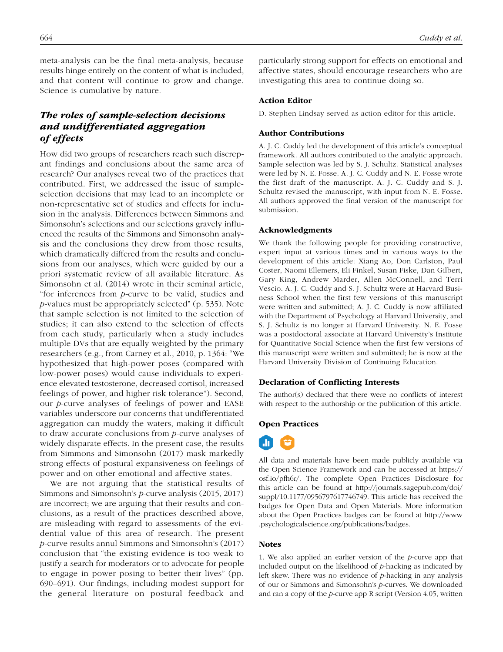meta-analysis can be the final meta-analysis, because results hinge entirely on the content of what is included, and that content will continue to grow and change. Science is cumulative by nature.

# *The roles of sample-selection decisions and undifferentiated aggregation of effects*

How did two groups of researchers reach such discrepant findings and conclusions about the same area of research? Our analyses reveal two of the practices that contributed. First, we addressed the issue of sampleselection decisions that may lead to an incomplete or non-representative set of studies and effects for inclusion in the analysis. Differences between Simmons and Simonsohn's selections and our selections gravely influenced the results of the Simmons and Simonsohn analysis and the conclusions they drew from those results, which dramatically differed from the results and conclusions from our analyses, which were guided by our a priori systematic review of all available literature. As Simonsohn et al. (2014) wrote in their seminal article, "for inferences from *p-*curve to be valid, studies and *p-*values must be appropriately selected" (p. 535). Note that sample selection is not limited to the selection of studies; it can also extend to the selection of effects from each study, particularly when a study includes multiple DVs that are equally weighted by the primary researchers (e.g., from Carney et al., 2010, p. 1364: "We hypothesized that high-power poses (compared with low-power poses) would cause individuals to experience elevated testosterone, decreased cortisol, increased feelings of power, and higher risk tolerance"). Second, our *p*-curve analyses of feelings of power and EASE variables underscore our concerns that undifferentiated aggregation can muddy the waters, making it difficult to draw accurate conclusions from *p*-curve analyses of widely disparate effects. In the present case, the results from Simmons and Simonsohn (2017) mask markedly strong effects of postural expansiveness on feelings of power and on other emotional and affective states.

We are not arguing that the statistical results of Simmons and Simonsohn's *p*-curve analysis (2015, 2017) are incorrect; we are arguing that their results and conclusions, as a result of the practices described above, are misleading with regard to assessments of the evidential value of this area of research. The present *p-*curve results annul Simmons and Simonsohn's (2017) conclusion that "the existing evidence is too weak to justify a search for moderators or to advocate for people to engage in power posing to better their lives" (pp. 690–691). Our findings, including modest support for the general literature on postural feedback and

particularly strong support for effects on emotional and affective states, should encourage researchers who are investigating this area to continue doing so.

#### Action Editor

D. Stephen Lindsay served as action editor for this article.

#### Author Contributions

A. J. C. Cuddy led the development of this article's conceptual framework. All authors contributed to the analytic approach. Sample selection was led by S. J. Schultz. Statistical analyses were led by N. E. Fosse. A. J. C. Cuddy and N. E. Fosse wrote the first draft of the manuscript. A. J. C. Cuddy and S. J. Schultz revised the manuscript, with input from N. E. Fosse. All authors approved the final version of the manuscript for submission.

#### Acknowledgments

We thank the following people for providing constructive, expert input at various times and in various ways to the development of this article: Xiang Ao, Don Carlston, Paul Coster, Naomi Ellemers, Eli Finkel, Susan Fiske, Dan Gilbert, Gary King, Andrew Marder, Allen McConnell, and Terri Vescio. A. J. C. Cuddy and S. J. Schultz were at Harvard Business School when the first few versions of this manuscript were written and submitted; A. J. C. Cuddy is now affiliated with the Department of Psychology at Harvard University, and S. J. Schultz is no longer at Harvard University. N. E. Fosse was a postdoctoral associate at Harvard University's Institute for Quantitative Social Science when the first few versions of this manuscript were written and submitted; he is now at the Harvard University Division of Continuing Education.

#### Declaration of Conflicting Interests

The author(s) declared that there were no conflicts of interest with respect to the authorship or the publication of this article.

#### Open Practices

м

All data and materials have been made publicly available via the Open Science Framework and can be accessed at [https://](https://osf.io/pfh6r/) [osf.io/pfh6r/](https://osf.io/pfh6r/). The complete Open Practices Disclosure for this article can be found at [http://journals.sagepub.com/doi/](http://journals.sagepub.com/doi/suppl/10.1177/0956797617746749) [suppl/10.1177/0956797617746749](http://journals.sagepub.com/doi/suppl/10.1177/0956797617746749). This article has received the badges for Open Data and Open Materials. More information about the Open Practices badges can be found at [http://www](http://www.psychologicalscience.org/publications/badges) [.psychologicalscience.org/publications/badges](http://www.psychologicalscience.org/publications/badges).

#### **Notes**

1. We also applied an earlier version of the *p-*curve app that included output on the likelihood of *p-*hacking as indicated by left skew. There was no evidence of *p-*hacking in any analysis of our or Simmons and Simonsohn's *p-*curves. We downloaded and ran a copy of the *p*-curve app R script (Version 4.05, written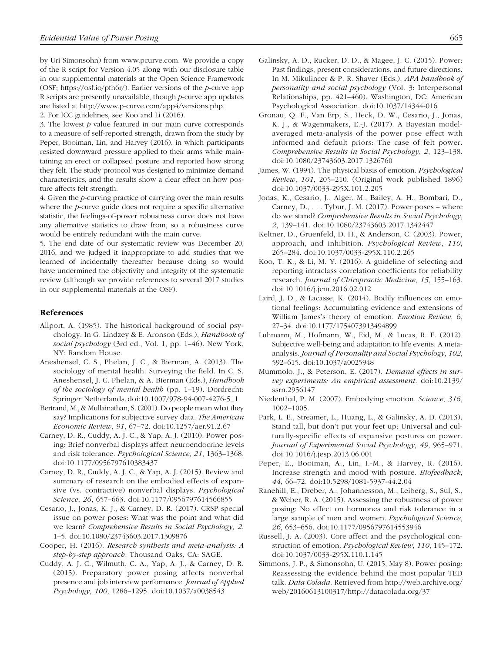by Uri Simonsohn) from [www.pcurve.com.](www.pcurve.com) We provide a copy of the R script for Version 4.05 along with our disclosure table in our supplemental materials at the Open Science Framework (OSF; [https://osf.io/pfh6r/\)](https://osf.io/pfh6r/). Earlier versions of the *p-*curve app R scripts are presently unavailable, though *p*-curve app updates are listed at <http://www.p-curve.com/app4/versions.php>.

2. For ICC guidelines, see Koo and Li (2016).

3. The lowest *p* value featured in our main curve corresponds to a measure of self-reported strength, drawn from the study by Peper, Booiman, Lin, and Harvey (2016), in which participants resisted downward pressure applied to their arms while maintaining an erect or collapsed posture and reported how strong they felt. The study protocol was designed to minimize demand characteristics, and the results show a clear effect on how posture affects felt strength.

4. Given the *p*-curving practice of carrying over the main results where the *p*-curve guide does not require a specific alternative statistic, the feelings-of-power robustness curve does not have any alternative statistics to draw from, so a robustness curve would be entirely redundant with the main curve.

5. The end date of our systematic review was December 20, 2016, and we judged it inappropriate to add studies that we learned of incidentally thereafter because doing so would have undermined the objectivity and integrity of the systematic review (although we provide references to several 2017 studies in our supplemental materials at the OSF).

#### References

- Allport, A. (1985). The historical background of social psychology. In G. Lindzey & E. Aronson (Eds.), *Handbook of social psychology* (3rd ed., Vol. 1, pp. 1–46). New York, NY: Random House.
- Aneshensel, C. S., Phelan, J. C., & Bierman, A. (2013). The sociology of mental health: Surveying the field. In C. S. Aneshensel, J. C. Phelan, & A. Bierman (Eds.), *Handbook of the sociology of mental health* (pp. 1–19). Dordrecht: Springer Netherlands. doi:10.1007/978-94-007-4276-5\_1
- Bertrand, M., & Mullainathan, S. (2001). Do people mean what they say? Implications for subjective survey data. *The American Economic Review*, *91*, 67–72. doi:10.1257/aer.91.2.67
- Carney, D. R., Cuddy, A. J. C., & Yap, A. J. (2010). Power posing: Brief nonverbal displays affect neuroendocrine levels and risk tolerance. *Psychological Science*, *21*, 1363–1368. doi:10.1177/0956797610383437
- Carney, D. R., Cuddy, A. J. C., & Yap, A. J. (2015). Review and summary of research on the embodied effects of expansive (vs. contractive) nonverbal displays. *Psychological Science*, *26*, 657–663. doi:10.1177/0956797614566855
- Cesario, J., Jonas, K. J., & Carney, D. R. (2017). CRSP special issue on power poses: What was the point and what did we learn? *Comprehensive Results in Social Psychology*, *2*, 1–5. doi:10.1080/23743603.2017.1309876
- Cooper, H. (2016). *Research synthesis and meta-analysis: A step-by-step approach*. Thousand Oaks, CA: SAGE.
- Cuddy, A. J. C., Wilmuth, C. A., Yap, A. J., & Carney, D. R. (2015). Preparatory power posing affects nonverbal presence and job interview performance. *Journal of Applied Psychology*, *100*, 1286–1295. doi:10.1037/a0038543
- Galinsky, A. D., Rucker, D. D., & Magee, J. C. (2015). Power: Past findings, present considerations, and future directions. In M. Mikulincer & P. R. Shaver (Eds.), *APA handbook of personality and social psychology* (Vol. 3: Interpersonal Relationships, pp. 421–460). Washington, DC: American Psychological Association. doi:10.1037/14344-016
- Gronau, Q. F., Van Erp, S., Heck, D. W., Cesario, J., Jonas, K. J., & Wagenmakers, E.-J. (2017). A Bayesian modelaveraged meta-analysis of the power pose effect with informed and default priors: The case of felt power. *Comprehensive Results in Social Psychology*, *2*, 123–138. doi:10.1080/23743603.2017.1326760
- James, W. (1994). The physical basis of emotion. *Psychological Review*, *101*, 205–210. (Original work published 1896) doi:10.1037/0033-295X.101.2.205
- Jonas, K., Cesario, J., Alger, M., Bailey, A. H., Bombari, D., Carney, D., . . . Tybur, J. M. (2017). Power poses – where do we stand? *Comprehensive Results in Social Psychology*, *2*, 139–141. doi:10.1080/23743603.2017.1342447
- Keltner, D., Gruenfeld, D. H., & Anderson, C. (2003). Power, approach, and inhibition. *Psychological Review*, *110*, 265–284. doi:10.1037/0033-295X.110.2.265
- Koo, T. K., & Li, M. Y. (2016). A guideline of selecting and reporting intraclass correlation coefficients for reliability research. *Journal of Chiropractic Medicine*, *15*, 155–163. doi:10.1016/j.jcm.2016.02.012
- Laird, J. D., & Lacasse, K. (2014). Bodily influences on emotional feelings: Accumulating evidence and extensions of William James's theory of emotion. *Emotion Review*, *6*, 27–34. doi:10.1177/1754073913494899
- Luhmann, M., Hofmann, W., Eid, M., & Lucas, R. E. (2012). Subjective well-being and adaptation to life events: A metaanalysis. *Journal of Personality and Social Psychology*, *102*, 592–615. doi:10.1037/a0025948
- Mummolo, J., & Peterson, E. (2017). *Demand effects in survey experiments: An empirical assessment*. doi:10.2139/ ssrn.2956147
- Niedenthal, P. M. (2007). Embodying emotion. *Science*, *316*, 1002–1005.
- Park, L. E., Streamer, L., Huang, L., & Galinsky, A. D. (2013). Stand tall, but don't put your feet up: Universal and culturally-specific effects of expansive postures on power. *Journal of Experimental Social Psychology*, *49*, 965–971. doi:10.1016/j.jesp.2013.06.001
- Peper, E., Booiman, A., Lin, I.-M., & Harvey, R. (2016). Increase strength and mood with posture. *Biofeedback*, *44*, 66–72. doi:10.5298/1081-5937-44.2.04
- Ranehill, E., Dreber, A., Johannesson, M., Leiberg, S., Sul, S., & Weber, R. A. (2015). Assessing the robustness of power posing: No effect on hormones and risk tolerance in a large sample of men and women. *Psychological Science*, *26*, 653–656. doi:10.1177/0956797614553946
- Russell, J. A. (2003). Core affect and the psychological construction of emotion. *Psychological Review*, *110*, 145–172. doi:10.1037/0033-295X.110.1.145
- Simmons, J. P., & Simonsohn, U. (2015, May 8). Power posing: Reassessing the evidence behind the most popular TED talk. *Data Colada*. Retrieved from [http://web.archive.org/](http://web.archive.org/web/20160613100317/http://datacolada.org/37) [web/20160613100317/http://datacolada.org/37](http://web.archive.org/web/20160613100317/http://datacolada.org/37)